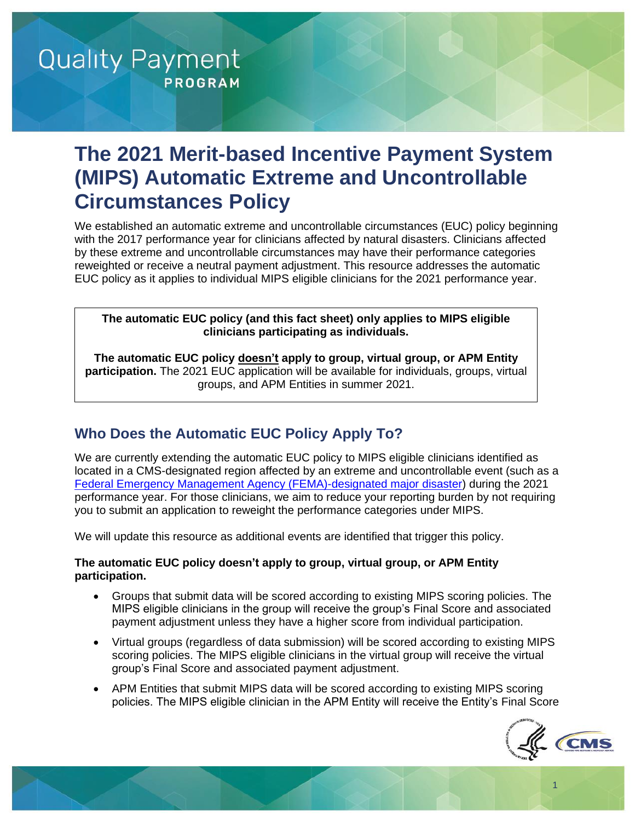# **The 2021 Merit-based Incentive Payment System (MIPS) Automatic Extreme and Uncontrollable Circumstances Policy**

We established an automatic extreme and uncontrollable circumstances (EUC) policy beginning with the 2017 performance year for clinicians affected by natural disasters. Clinicians affected by these extreme and uncontrollable circumstances may have their performance categories reweighted or receive a neutral payment adjustment. This resource addresses the automatic EUC policy as it applies to individual MIPS eligible clinicians for the 2021 performance year.

**The automatic EUC policy (and this fact sheet) only applies to MIPS eligible clinicians participating as individuals.**

**The automatic EUC policy doesn't apply to group, virtual group, or APM Entity participation.** The 2021 EUC application will be available for individuals, groups, virtual groups, and APM Entities in summer 2021.

### **Who Does the Automatic EUC Policy Apply To?**

We are currently extending the automatic EUC policy to MIPS eligible clinicians identified as located in a CMS-designated region affected by an extreme and uncontrollable event (such as a [Federal Emergency Management Agency \(FEMA\)-designated major disaster\)](https://www.cms.gov/About-CMS/Agency-Information/Emergency/EPRO/EPRO-Home.html) during the 2021 performance year. For those clinicians, we aim to reduce your reporting burden by not requiring you to submit an application to reweight the performance categories under MIPS.

We will update this resource as additional events are identified that trigger this policy.

#### **The automatic EUC policy doesn't apply to group, virtual group, or APM Entity participation.**

- Groups that submit data will be scored according to existing MIPS scoring policies. The MIPS eligible clinicians in the group will receive the group's Final Score and associated payment adjustment unless they have a higher score from individual participation.
- Virtual groups (regardless of data submission) will be scored according to existing MIPS scoring policies. The MIPS eligible clinicians in the virtual group will receive the virtual group's Final Score and associated payment adjustment.
- APM Entities that submit MIPS data will be scored according to existing MIPS scoring policies. The MIPS eligible clinician in the APM Entity will receive the Entity's Final Score



1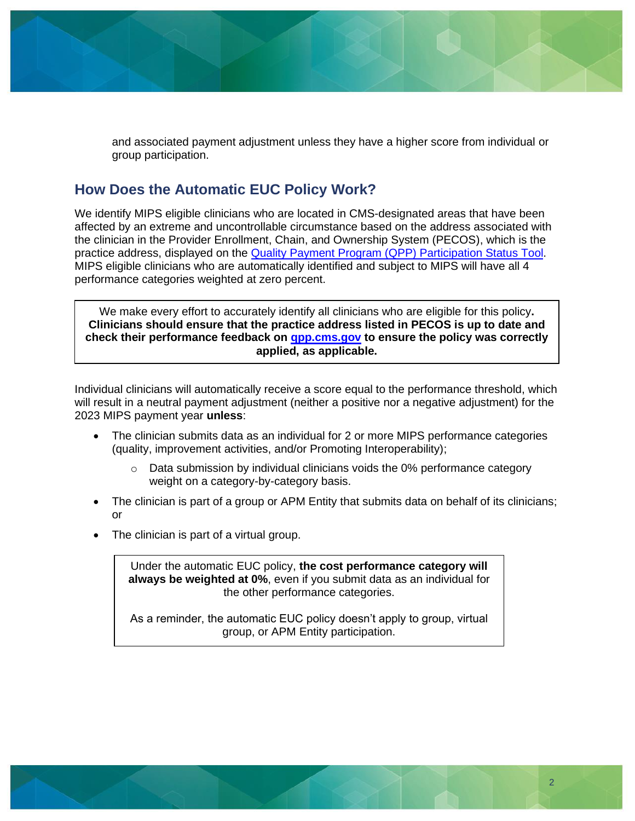and associated payment adjustment unless they have a higher score from individual or group participation.

#### **How Does the Automatic EUC Policy Work?**

We identify MIPS eligible clinicians who are located in CMS-designated areas that have been affected by an extreme and uncontrollable circumstance based on the address associated with the clinician in the Provider Enrollment, Chain, and Ownership System (PECOS), which is the practice address, displayed on the [Quality Payment Program \(QPP\)](https://qpp.cms.gov/participation-lookup) Participation Status Tool. MIPS eligible clinicians who are automatically identified and subject to MIPS will have all 4 performance categories weighted at zero percent.

We make every effort to accurately identify all clinicians who are eligible for this policy**. Clinicians should ensure that the practice address listed in PECOS is up to date and check their performance feedback on [qpp.cms.gov](https://qpp.cms.gov/login) to ensure the policy was correctly applied, as applicable.**

Individual clinicians will automatically receive a score equal to the performance threshold, which will result in a neutral payment adjustment (neither a positive nor a negative adjustment) for the 2023 MIPS payment year **unless**:

- The clinician submits data as an individual for 2 or more MIPS performance categories (quality, improvement activities, and/or Promoting Interoperability);
	- $\circ$  Data submission by individual clinicians voids the 0% performance category weight on a category-by-category basis.
- The clinician is part of a group or APM Entity that submits data on behalf of its clinicians; or
- The clinician is part of a virtual group.

Under the automatic EUC policy, **the cost performance category will always be weighted at 0%**, even if you submit data as an individual for the other performance categories.

As a reminder, the automatic EUC policy doesn't apply to group, virtual group, or APM Entity participation.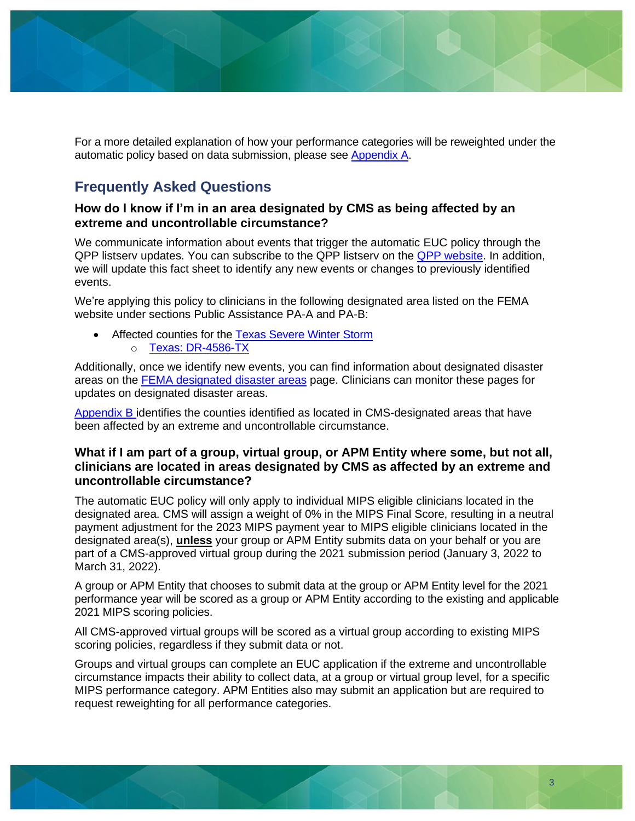

For a more detailed explanation of how your performance categories will be reweighted under the automatic policy based on data submission, please see [Appendix A.](#page-5-0)

### **Frequently Asked Questions**

#### **How do I know if I'm in an area designated by CMS as being affected by an extreme and uncontrollable circumstance?**

We communicate information about events that trigger the automatic EUC policy through the QPP listserv updates. You can subscribe to the QPP listserv on the [QPP website.](https://qpp.cms.gov/) In addition, we will update this fact sheet to identify any new events or changes to previously identified events.

We're applying this policy to clinicians in the following designated area listed on the FEMA website under sections Public Assistance PA-A and PA-B:

• Affected counties for the [Texas Severe Winter Storm](https://www.fema.gov/disaster/4586) o [Texas: DR-4586-TX](https://www.fema.gov/disaster/4586/designated-areas)

Additionally, once we identify new events, you can find information about designated disaster areas on the [FEMA designated disaster areas](https://www.fema.gov/disasters) page. Clinicians can monitor these pages for updates on designated disaster areas.

[Appendix B](#page-6-0) identifies the counties identified as located in CMS-designated areas that have been affected by an extreme and uncontrollable circumstance.

#### **What if I am part of a group, virtual group, or APM Entity where some, but not all, clinicians are located in areas designated by CMS as affected by an extreme and uncontrollable circumstance?**

The automatic EUC policy will only apply to individual MIPS eligible clinicians located in the designated area. CMS will assign a weight of 0% in the MIPS Final Score, resulting in a neutral payment adjustment for the 2023 MIPS payment year to MIPS eligible clinicians located in the designated area(s), **unless** your group or APM Entity submits data on your behalf or you are part of a CMS-approved virtual group during the 2021 submission period (January 3, 2022 to March 31, 2022).

A group or APM Entity that chooses to submit data at the group or APM Entity level for the 2021 performance year will be scored as a group or APM Entity according to the existing and applicable 2021 MIPS scoring policies.

All CMS-approved virtual groups will be scored as a virtual group according to existing MIPS scoring policies, regardless if they submit data or not.

Groups and virtual groups can complete an EUC application if the extreme and uncontrollable circumstance impacts their ability to collect data, at a group or virtual group level, for a specific MIPS performance category. APM Entities also may submit an application but are required to request reweighting for all performance categories.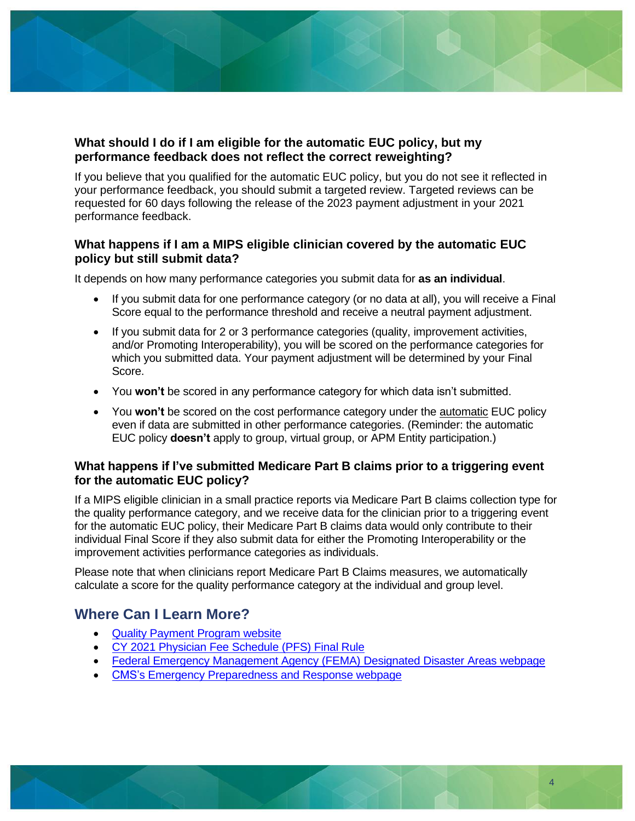

#### **What should I do if I am eligible for the automatic EUC policy, but my performance feedback does not reflect the correct reweighting?**

If you believe that you qualified for the automatic EUC policy, but you do not see it reflected in your performance feedback, you should submit a targeted review. Targeted reviews can be requested for 60 days following the release of the 2023 payment adjustment in your 2021 performance feedback.

#### **What happens if I am a MIPS eligible clinician covered by the automatic EUC policy but still submit data?**

It depends on how many performance categories you submit data for **as an individual**.

- If you submit data for one performance category (or no data at all), you will receive a Final Score equal to the performance threshold and receive a neutral payment adjustment.
- If you submit data for 2 or 3 performance categories (quality, improvement activities, and/or Promoting Interoperability), you will be scored on the performance categories for which you submitted data. Your payment adjustment will be determined by your Final Score.
- You **won't** be scored in any performance category for which data isn't submitted.
- You **won't** be scored on the cost performance category under the automatic EUC policy even if data are submitted in other performance categories. (Reminder: the automatic EUC policy **doesn't** apply to group, virtual group, or APM Entity participation.)

#### **What happens if I've submitted Medicare Part B claims prior to a triggering event for the automatic EUC policy?**

If a MIPS eligible clinician in a small practice reports via Medicare Part B claims collection type for the quality performance category, and we receive data for the clinician prior to a triggering event for the automatic EUC policy, their Medicare Part B claims data would only contribute to their individual Final Score if they also submit data for either the Promoting Interoperability or the improvement activities performance categories as individuals.

Please note that when clinicians report Medicare Part B Claims measures, we automatically calculate a score for the quality performance category at the individual and group level.

### **Where Can I Learn More?**

- [Quality Payment Program website](https://qpp.cms.gov/)
- CY 2021 [Physician Fee Schedule](https://www.federalregister.gov/documents/2020/12/28/2020-26815/medicare-program-cy-2021-payment-policies-under-the-physician-fee-schedule-and-other-changes-to-part) (PFS) Final Rule
- [Federal Emergency Management Agency \(FEMA\) Designated Disaster Areas webpage](https://www.fema.gov/disasters)
- CMS's [Emergency Preparedness and Response webpage](https://www.cms.gov/About-CMS/Agency-Information/Emergency/EPRO/EPRO-Home)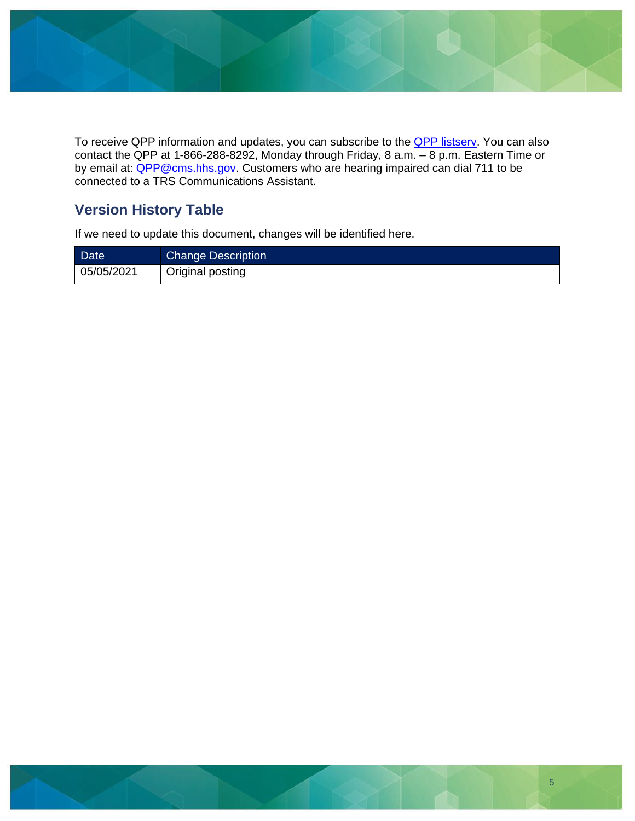

To receive QPP information and updates, you can subscribe to the **QPP listsery**. You can also contact the QPP at 1-866-288-8292, Monday through Friday, 8 a.m. – 8 p.m. Eastern Time or by email at: **QPP@cms.hhs.gov.** Customers who are hearing impaired can dial 711 to be connected to a TRS Communications Assistant.

### **Version History Table**

If we need to update this document, changes will be identified here.

| <b>Date</b> | <b>Change Description</b> |
|-------------|---------------------------|
| 05/05/2021  | Original posting          |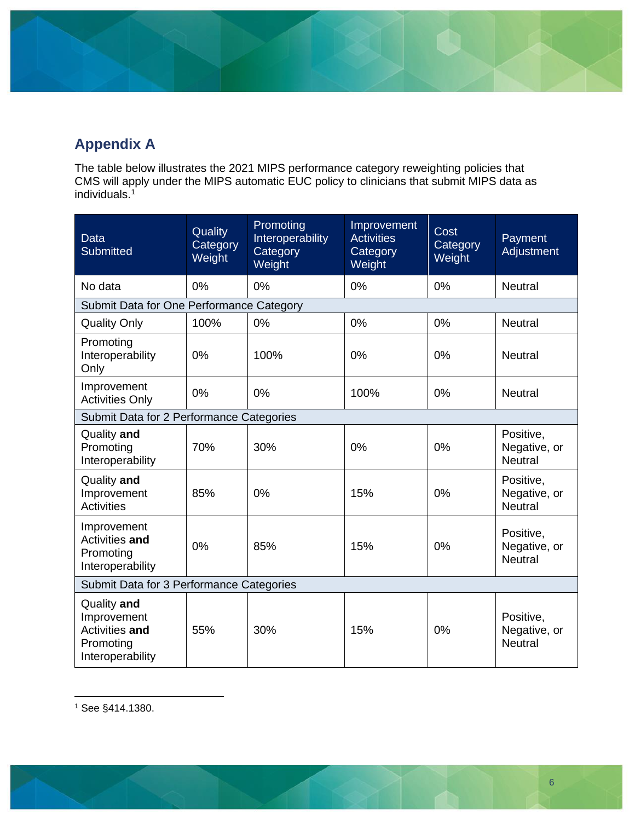# <span id="page-5-0"></span>**Appendix A**

The table below illustrates the 2021 MIPS performance category reweighting policies that CMS will apply under the MIPS automatic EUC policy to clinicians that submit MIPS data as individuals. 1

| <b>Data</b><br><b>Submitted</b>                                               | Quality<br>Category<br>Weight | Promoting<br>Interoperability<br>Category<br>Weight | Improvement<br><b>Activities</b><br>Category<br>Weight | Cost<br>Category<br>Weight | Payment<br>Adjustment                       |  |
|-------------------------------------------------------------------------------|-------------------------------|-----------------------------------------------------|--------------------------------------------------------|----------------------------|---------------------------------------------|--|
| No data                                                                       | 0%                            | 0%                                                  | 0%                                                     | 0%                         | <b>Neutral</b>                              |  |
| Submit Data for One Performance Category                                      |                               |                                                     |                                                        |                            |                                             |  |
| <b>Quality Only</b>                                                           | 100%                          | 0%                                                  | 0%                                                     | 0%                         | <b>Neutral</b>                              |  |
| Promoting<br>Interoperability<br>Only                                         | 0%                            | 100%                                                | 0%                                                     | 0%                         | <b>Neutral</b>                              |  |
| Improvement<br><b>Activities Only</b>                                         | 0%                            | 0%                                                  | 100%                                                   | 0%                         | <b>Neutral</b>                              |  |
| Submit Data for 2 Performance Categories                                      |                               |                                                     |                                                        |                            |                                             |  |
| Quality and<br>Promoting<br>Interoperability                                  | 70%                           | 30%                                                 | 0%                                                     | 0%                         | Positive,<br>Negative, or<br><b>Neutral</b> |  |
| Quality and<br>Improvement<br><b>Activities</b>                               | 85%                           | 0%                                                  | 15%                                                    | 0%                         | Positive,<br>Negative, or<br><b>Neutral</b> |  |
| Improvement<br>Activities and<br>Promoting<br>Interoperability                | 0%                            | 85%                                                 | 15%                                                    | 0%                         | Positive,<br>Negative, or<br><b>Neutral</b> |  |
| Submit Data for 3 Performance Categories                                      |                               |                                                     |                                                        |                            |                                             |  |
| Quality and<br>Improvement<br>Activities and<br>Promoting<br>Interoperability | 55%                           | 30%                                                 | 15%                                                    | 0%                         | Positive,<br>Negative, or<br><b>Neutral</b> |  |

<sup>1</sup> See §414.1380.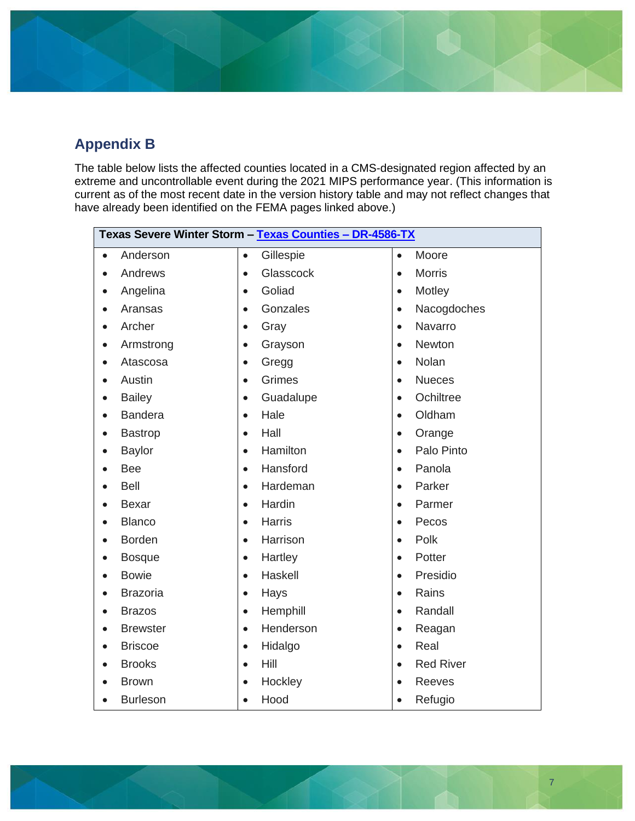# <span id="page-6-0"></span>**Appendix B**

The table below lists the affected counties located in a CMS-designated region affected by an extreme and uncontrollable event during the 2021 MIPS performance year. (This information is current as of the most recent date in the version history table and may not reflect changes that have already been identified on the FEMA pages linked above.)

| Texas Severe Winter Storm - Texas Counties - DR-4586-TX |                 |           |               |           |                  |
|---------------------------------------------------------|-----------------|-----------|---------------|-----------|------------------|
| $\bullet$                                               | Anderson        | $\bullet$ | Gillespie     | $\bullet$ | Moore            |
|                                                         | Andrews         | $\bullet$ | Glasscock     | $\bullet$ | <b>Morris</b>    |
|                                                         | Angelina        | $\bullet$ | Goliad        | $\bullet$ | Motley           |
|                                                         | Aransas         | $\bullet$ | Gonzales      | $\bullet$ | Nacogdoches      |
|                                                         | Archer          |           | Gray          | $\bullet$ | Navarro          |
|                                                         | Armstrong       | $\bullet$ | Grayson       | $\bullet$ | Newton           |
|                                                         | Atascosa        |           | Gregg         | $\bullet$ | Nolan            |
|                                                         | Austin          | $\bullet$ | Grimes        | $\bullet$ | <b>Nueces</b>    |
|                                                         | <b>Bailey</b>   | $\bullet$ | Guadalupe     | $\bullet$ | Ochiltree        |
|                                                         | <b>Bandera</b>  |           | Hale          | $\bullet$ | Oldham           |
|                                                         | <b>Bastrop</b>  | $\bullet$ | Hall          | $\bullet$ | Orange           |
|                                                         | <b>Baylor</b>   | $\bullet$ | Hamilton      | $\bullet$ | Palo Pinto       |
|                                                         | Bee             | $\bullet$ | Hansford      | $\bullet$ | Panola           |
|                                                         | Bell            | $\bullet$ | Hardeman      | $\bullet$ | Parker           |
|                                                         | <b>Bexar</b>    | $\bullet$ | Hardin        | $\bullet$ | Parmer           |
|                                                         | <b>Blanco</b>   | $\bullet$ | <b>Harris</b> | $\bullet$ | Pecos            |
|                                                         | <b>Borden</b>   | $\bullet$ | Harrison      | $\bullet$ | Polk             |
|                                                         | <b>Bosque</b>   | $\bullet$ | Hartley       | $\bullet$ | Potter           |
|                                                         | <b>Bowie</b>    | $\bullet$ | Haskell       | $\bullet$ | Presidio         |
|                                                         | <b>Brazoria</b> | $\bullet$ | Hays          | $\bullet$ | Rains            |
|                                                         | <b>Brazos</b>   | $\bullet$ | Hemphill      | $\bullet$ | Randall          |
|                                                         | <b>Brewster</b> | $\bullet$ | Henderson     | $\bullet$ | Reagan           |
|                                                         | <b>Briscoe</b>  | $\bullet$ | Hidalgo       | $\bullet$ | Real             |
|                                                         | <b>Brooks</b>   | $\bullet$ | Hill          | $\bullet$ | <b>Red River</b> |
|                                                         | <b>Brown</b>    | $\bullet$ | Hockley       | $\bullet$ | Reeves           |
|                                                         | <b>Burleson</b> |           | Hood          | $\bullet$ | Refugio          |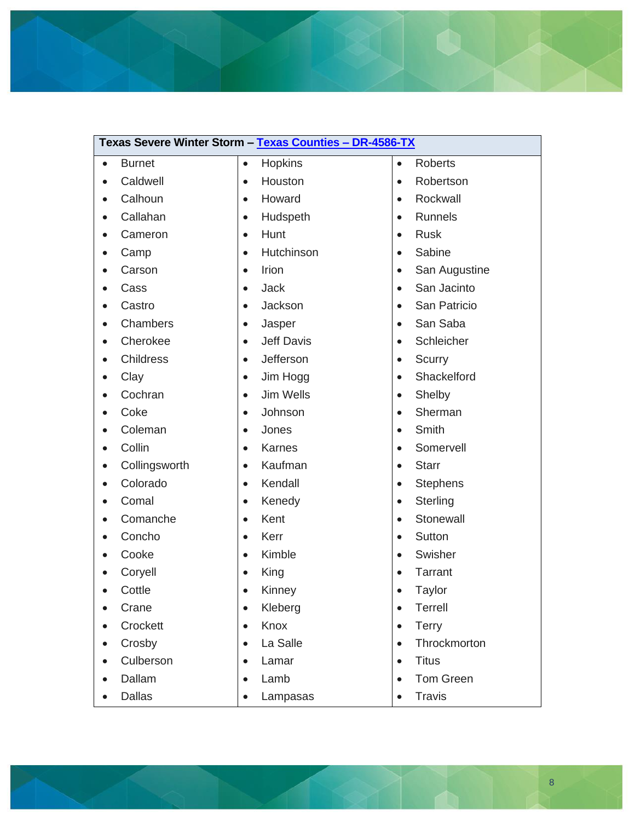

|           | Caldwell         | $\bullet$ | Houston           | $\bullet$ | Robertson        |  |
|-----------|------------------|-----------|-------------------|-----------|------------------|--|
|           | Calhoun          | $\bullet$ | Howard            | $\bullet$ | Rockwall         |  |
|           | Callahan         | $\bullet$ | Hudspeth          | $\bullet$ | <b>Runnels</b>   |  |
|           | Cameron          | $\bullet$ | Hunt              | $\bullet$ | <b>Rusk</b>      |  |
|           | Camp             | $\bullet$ | Hutchinson        | $\bullet$ | Sabine           |  |
|           | Carson           | $\bullet$ | Irion             | $\bullet$ | San Augustine    |  |
|           | Cass             | $\bullet$ | <b>Jack</b>       | $\bullet$ | San Jacinto      |  |
|           | Castro           | $\bullet$ | Jackson           | $\bullet$ | San Patricio     |  |
|           | Chambers         | $\bullet$ | Jasper            | $\bullet$ | San Saba         |  |
| $\bullet$ | Cherokee         | $\bullet$ | <b>Jeff Davis</b> | $\bullet$ | Schleicher       |  |
|           | <b>Childress</b> | $\bullet$ | Jefferson         | $\bullet$ | Scurry           |  |
|           | Clay             | $\bullet$ | Jim Hogg          | $\bullet$ | Shackelford      |  |
|           | Cochran          | $\bullet$ | <b>Jim Wells</b>  | $\bullet$ | Shelby           |  |
|           | Coke             | $\bullet$ | Johnson           | $\bullet$ | Sherman          |  |
|           | Coleman          | $\bullet$ | Jones             | $\bullet$ | Smith            |  |
|           | Collin           | $\bullet$ | <b>Karnes</b>     | $\bullet$ | Somervell        |  |
|           | Collingsworth    | $\bullet$ | Kaufman           | $\bullet$ | <b>Starr</b>     |  |
|           | Colorado         | $\bullet$ | Kendall           | $\bullet$ | <b>Stephens</b>  |  |
|           | Comal            | $\bullet$ | Kenedy            | $\bullet$ | Sterling         |  |
|           | Comanche         | $\bullet$ | Kent              | $\bullet$ | Stonewall        |  |
|           | Concho           | $\bullet$ | Kerr              | $\bullet$ | Sutton           |  |
|           | Cooke            | $\bullet$ | Kimble            | $\bullet$ | Swisher          |  |
|           | Coryell          | $\bullet$ | King              | $\bullet$ | <b>Tarrant</b>   |  |
|           | Cottle           | $\bullet$ | Kinney            | $\bullet$ | Taylor           |  |
|           | Crane            | $\bullet$ | Kleberg           | $\bullet$ | <b>Terrell</b>   |  |
|           | Crockett         | $\bullet$ | Knox              | $\bullet$ | <b>Terry</b>     |  |
| $\bullet$ | Crosby           | $\bullet$ | La Salle          | $\bullet$ | Throckmorton     |  |
|           | Culberson        | $\bullet$ | Lamar             | $\bullet$ | <b>Titus</b>     |  |
|           | Dallam           |           | Lamb              |           | <b>Tom Green</b> |  |
| $\bullet$ | <b>Dallas</b>    | $\bullet$ | Lampasas          | $\bullet$ | <b>Travis</b>    |  |